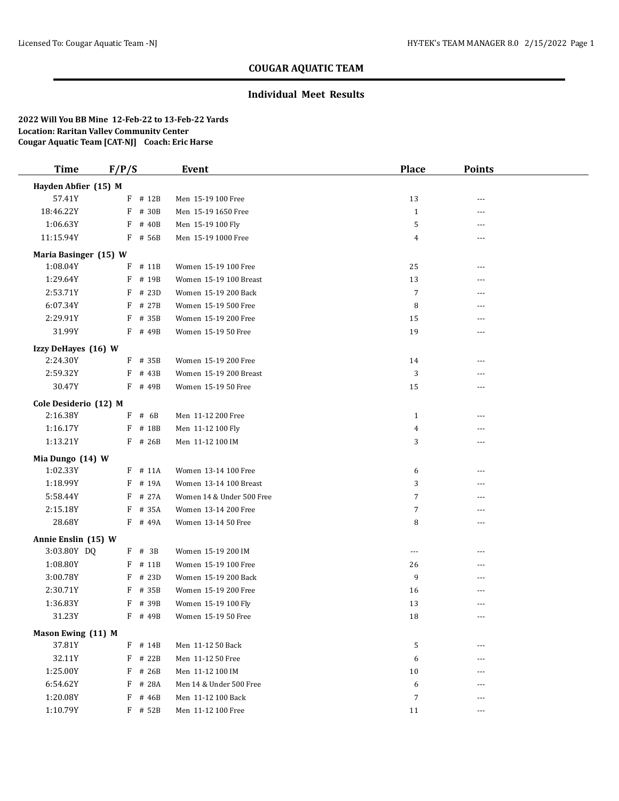#### **Individual Meet Results**

| <b>Time</b>                        | F/P/S |           | Event                     | <b>Place</b>   | <b>Points</b> |  |
|------------------------------------|-------|-----------|---------------------------|----------------|---------------|--|
| Hayden Abfier (15) M               |       |           |                           |                |               |  |
| 57.41Y                             |       | $F$ # 12B | Men 15-19 100 Free        | 13             | ---           |  |
| 18:46.22Y                          | F     | # 30B     | Men 15-19 1650 Free       | $\mathbf{1}$   | ---           |  |
| 1:06.63Y                           | F     | # 40B     | Men 15-19 100 Fly         | 5              | ---           |  |
| 11:15.94Y                          |       | F # 56B   | Men 15-19 1000 Free       | 4              | $---$         |  |
| Maria Basinger (15) W              |       |           |                           |                |               |  |
| 1:08.04Y                           |       | F # 11B   | Women 15-19 100 Free      | 25             | $- - -$       |  |
| 1:29.64Y                           | F     | # 19B     | Women 15-19 100 Breast    | 13             | ---           |  |
| 2:53.71Y                           | F     | # 23D     | Women 15-19 200 Back      | $\overline{7}$ |               |  |
| 6:07.34Y                           | F     | # 27B     | Women 15-19 500 Free      | 8              |               |  |
| 2:29.91Y                           | F     | # 35B     | Women 15-19 200 Free      | 15             |               |  |
| 31.99Y                             |       | F # 49B   | Women 15-19 50 Free       | 19             | ---           |  |
| Izzy DeHayes (16) W                |       |           |                           |                |               |  |
| 2:24.30Y                           |       | F # 35B   | Women 15-19 200 Free      | 14             | $- - -$       |  |
| 2:59.32Y                           |       | F # 43B   | Women 15-19 200 Breast    | 3              |               |  |
| 30.47Y                             |       | $F$ # 49B | Women 15-19 50 Free       | 15             | ---           |  |
| Cole Desiderio (12) M              |       |           |                           |                |               |  |
| 2:16.38Y                           | F     | # 6B      | Men 11-12 200 Free        | 1              | ---           |  |
| 1:16.17Y                           |       | F # 18B   | Men 11-12 100 Fly         | 4              | ---           |  |
| 1:13.21Y                           |       | $F$ # 26B | Men 11-12 100 IM          | 3              | ---           |  |
| Mia Dungo (14) W                   |       |           |                           |                |               |  |
| 1:02.33Y                           |       | $F$ # 11A | Women 13-14 100 Free      | 6              | ---           |  |
| 1:18.99Y                           |       | F # 19A   | Women 13-14 100 Breast    | 3              | ---           |  |
| 5:58.44Y                           | F     | # 27A     | Women 14 & Under 500 Free | 7              | ---           |  |
| 2:15.18Y                           | F     | # 35A     | Women 13-14 200 Free      | 7              | ---           |  |
| 28.68Y                             |       | F # 49A   | Women 13-14 50 Free       | 8              | ---           |  |
|                                    |       |           |                           |                |               |  |
| Annie Enslin (15) W<br>3:03.80Y DQ |       | $F$ # 3B  | Women 15-19 200 IM        | ---            | ---           |  |
| 1:08.80Y                           |       | F # 11B   | Women 15-19 100 Free      | 26             | ---           |  |
| 3:00.78Y                           | F     | # 23D     | Women 15-19 200 Back      | 9              | ---           |  |
| 2:30.71Y                           | F     | # 35B     | Women 15-19 200 Free      | 16             | ---           |  |
| 1:36.83Y                           |       | F # 39B   | Women 15-19 100 Fly       | 13             | ---           |  |
| 31.23Y                             |       | $F$ # 49B | Women 15-19 50 Free       | 18             | ---           |  |
|                                    |       |           |                           |                |               |  |
| Mason Ewing (11) M                 |       |           |                           |                |               |  |
| 37.81Y                             |       | F # 14B   | Men 11-12 50 Back         | 5              | ---           |  |
| 32.11Y                             |       | F # 22B   | Men 11-12 50 Free         | 6              | ---           |  |
| 1:25.00Y                           |       | $F$ # 26B | Men 11-12 100 IM          | 10             |               |  |
| 6:54.62Y                           | F     | # 28A     | Men 14 & Under 500 Free   | 6              |               |  |
| 1:20.08Y                           | F     | # 46B     | Men 11-12 100 Back        | 7              | ---           |  |
| 1:10.79Y                           |       | F # 52B   | Men 11-12 100 Free        | 11             | ---           |  |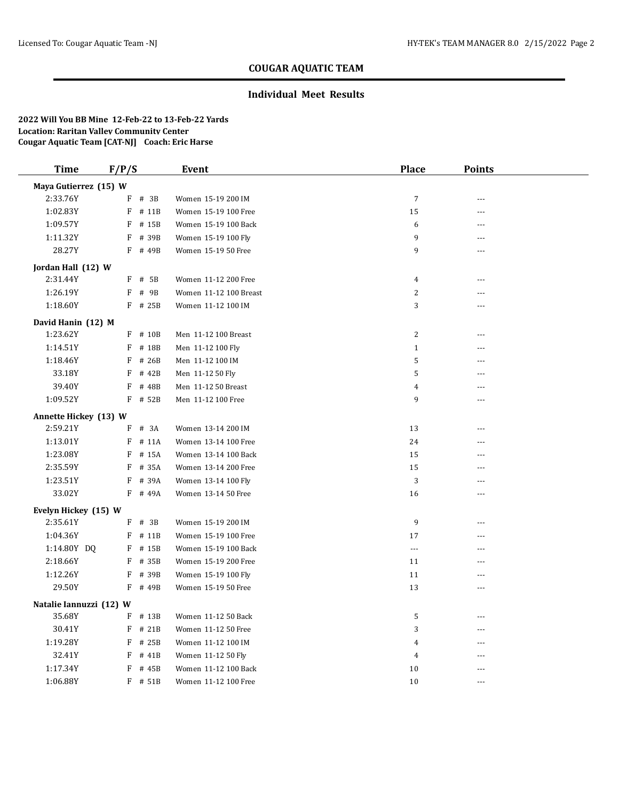### **Individual Meet Results**

| <b>Time</b>             | F/P/S     | <b>Event</b>                  | <b>Place</b>   | <b>Points</b> |  |
|-------------------------|-----------|-------------------------------|----------------|---------------|--|
| Maya Gutierrez (15) W   |           |                               |                |               |  |
| 2:33.76Y                | F<br># 3B | Women 15-19 200 IM            | $\overline{7}$ | ---           |  |
| 1:02.83Y                | F         | # 11B<br>Women 15-19 100 Free | 15             |               |  |
| 1:09.57Y                | $F$ # 15B | Women 15-19 100 Back          | 6              | ---           |  |
| 1:11.32Y                | F         | # 39B<br>Women 15-19 100 Fly  | 9              |               |  |
| 28.27Y                  | F         | # 49B<br>Women 15-19 50 Free  | 9              | ---           |  |
| Jordan Hall (12) W      |           |                               |                |               |  |
| 2:31.44Y                | $F$ # 5B  | Women 11-12 200 Free          | $\overline{4}$ | ---           |  |
| 1:26.19Y                | F<br># 9B | Women 11-12 100 Breast        | 2              | ---           |  |
| 1:18.60Y                | $F$ # 25B | Women 11-12 100 IM            | 3              | ---           |  |
| David Hanin (12) M      |           |                               |                |               |  |
| 1:23.62Y                | F # 10B   | Men 11-12 100 Breast          | 2              | ---           |  |
| 1:14.51Y                | F # 18B   | Men 11-12 100 Fly             | $1\,$          | ---           |  |
| 1:18.46Y                | F         | # 26B<br>Men 11-12 100 IM     | 5              | ---           |  |
| 33.18Y                  | F         | # 42B<br>Men 11-12 50 Fly     | 5              | ---           |  |
| 39.40Y                  | F         | # 48B<br>Men 11-12 50 Breast  | 4              | ---           |  |
| 1:09.52Y                | $F$ # 52B | Men 11-12 100 Free            | 9              | ---           |  |
| Annette Hickey (13) W   |           |                               |                |               |  |
| 2:59.21Y                | F # 3A    | Women 13-14 200 IM            | 13             | ---           |  |
| 1:13.01Y                | $F$ # 11A | Women 13-14 100 Free          | 24             | ---           |  |
| 1:23.08Y                | F # 15A   | Women 13-14 100 Back          | 15             | ---           |  |
| 2:35.59Y                | F         | # 35A<br>Women 13-14 200 Free | 15             | ---           |  |
| 1:23.51Y                | F # 39A   | Women 13-14 100 Fly           | $\sqrt{3}$     | ---           |  |
| 33.02Y                  | F # 49A   | Women 13-14 50 Free           | 16             | ---           |  |
| Evelyn Hickey (15) W    |           |                               |                |               |  |
| 2:35.61Y                | $F$ # 3B  | Women 15-19 200 IM            | 9              | ---           |  |
| 1:04.36Y                | F # 11B   | Women 15-19 100 Free          | 17             | ---           |  |
| 1:14.80Y DQ             | F         | # 15B<br>Women 15-19 100 Back | $---$          | ---           |  |
| 2:18.66Y                | F # 35B   | Women 15-19 200 Free          | 11             | ---           |  |
| 1:12.26Y                | F         | # 39B<br>Women 15-19 100 Fly  | 11             |               |  |
| 29.50Y                  | F         | # 49B<br>Women 15-19 50 Free  | 13             | ---           |  |
| Natalie Iannuzzi (12) W |           |                               |                |               |  |
| 35.68Y                  | $F$ # 13B | Women 11-12 50 Back           | 5              | ---           |  |
| 30.41Y                  | F         | # 21B<br>Women 11-12 50 Free  | 3              | ---           |  |
| 1:19.28Y                | F # 25B   | Women 11-12 100 IM            | 4              | ---           |  |
| 32.41Y                  | F         | # 41B<br>Women 11-12 50 Fly   | 4              | ---           |  |
| 1:17.34Y                | F         | # 45B<br>Women 11-12 100 Back | 10             | ---           |  |
| 1:06.88Y                | $F$ # 51B | Women 11-12 100 Free          | 10             | ---           |  |
|                         |           |                               |                |               |  |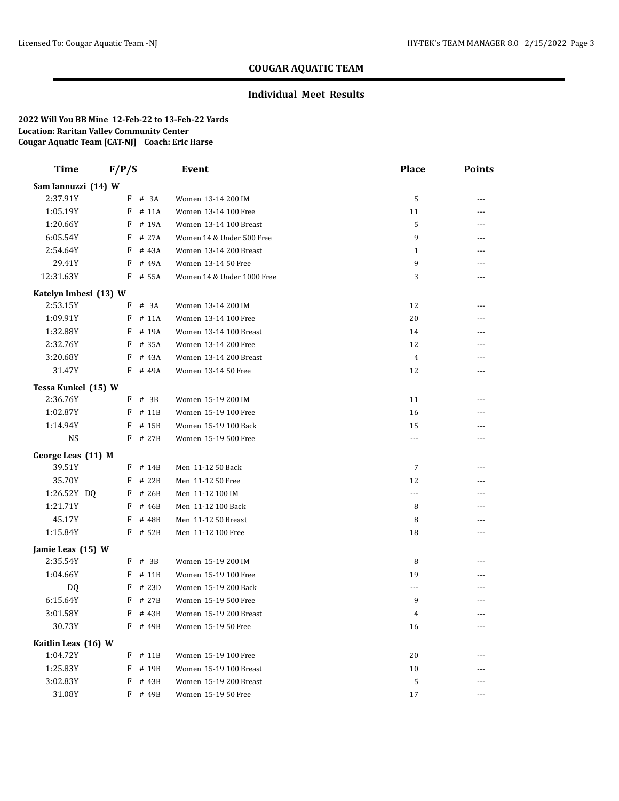#### **Individual Meet Results**

| <b>Time</b>           | F/P/S |           | Event                      | <b>Place</b>   | <b>Points</b> |  |
|-----------------------|-------|-----------|----------------------------|----------------|---------------|--|
| Sam Iannuzzi (14) W   |       |           |                            |                |               |  |
| 2:37.91Y              |       | F # 3A    | Women 13-14 200 IM         | 5              | $\cdots$      |  |
| 1:05.19Y              |       | $F$ # 11A | Women 13-14 100 Free       | 11             | ---           |  |
| 1:20.66Y              | F     | # 19A     | Women 13-14 100 Breast     | 5              | ---           |  |
| 6:05.54Y              | F     | # 27A     | Women 14 & Under 500 Free  | 9              | $---$         |  |
| 2:54.64Y              | F     | # 43A     | Women 13-14 200 Breast     | 1              | ---           |  |
| 29.41Y                | F     | # 49A     | Women 13-14 50 Free        | 9              | ---           |  |
| 12:31.63Y             |       | F # 55A   | Women 14 & Under 1000 Free | 3              | $\cdots$      |  |
| Katelyn Imbesi (13) W |       |           |                            |                |               |  |
| 2:53.15Y              | F     | # 3A      | Women 13-14 200 IM         | 12             | ---           |  |
| 1:09.91Y              | F     | # 11A     | Women 13-14 100 Free       | 20             | ---           |  |
| 1:32.88Y              |       | F # 19A   | Women 13-14 100 Breast     | 14             | $---$         |  |
| 2:32.76Y              | F     | # 35A     | Women 13-14 200 Free       | 12             |               |  |
| 3:20.68Y              | F     | # 43A     | Women 13-14 200 Breast     | $\overline{4}$ | $---$         |  |
| 31.47Y                |       | F # 49A   | Women 13-14 50 Free        | 12             | ---           |  |
| Tessa Kunkel (15) W   |       |           |                            |                |               |  |
| 2:36.76Y              |       | F # 3B    | Women 15-19 200 IM         | 11             | ---           |  |
| 1:02.87Y              | F     | # 11B     | Women 15-19 100 Free       | 16             | ---           |  |
| 1:14.94Y              | F     | # 15B     | Women 15-19 100 Back       | 15             | ---           |  |
| <b>NS</b>             |       | F # 27B   | Women 15-19 500 Free       | ---            | ---           |  |
| George Leas (11) M    |       |           |                            |                |               |  |
| 39.51Y                |       | F # 14B   | Men 11-12 50 Back          | $\overline{7}$ | ---           |  |
| 35.70Y                | F     | # 22B     | Men 11-12 50 Free          | 12             | ---           |  |
| 1:26.52Y DQ           | F     | # 26B     | Men 11-12 100 IM           | ---            | $---$         |  |
| 1:21.71Y              | F     | # 46B     | Men 11-12 100 Back         | 8              | ---           |  |
| 45.17Y                |       | $F$ # 48B | Men 11-12 50 Breast        | 8              | ---           |  |
| 1:15.84Y              |       | $F$ # 52B | Men 11-12 100 Free         | 18             | ---           |  |
| Jamie Leas (15) W     |       |           |                            |                |               |  |
| 2:35.54Y              |       | $F$ # 3B  | Women 15-19 200 IM         | 8              | ---           |  |
| 1:04.66Y              |       | $F$ # 11B | Women 15-19 100 Free       | 19             | $\cdots$      |  |
| DQ                    |       | $F$ # 23D | Women 15-19 200 Back       | ---            | ---           |  |
| 6:15.64Y              | F     | # 27B     | Women 15-19 500 Free       | 9              |               |  |
| 3:01.58Y              |       | F # 43B   | Women 15-19 200 Breast     | 4              | ---           |  |
| 30.73Y                |       | F # 49B   | Women 15-19 50 Free        | 16             | ---           |  |
| Kaitlin Leas (16) W   |       |           |                            |                |               |  |
| 1:04.72Y              |       | $F$ # 11B | Women 15-19 100 Free       | 20             |               |  |
| 1:25.83Y              |       | F # 19B   | Women 15-19 100 Breast     | 10             | $---$         |  |
| 3:02.83Y              | F     | # 43B     | Women 15-19 200 Breast     | 5              | ---           |  |
| 31.08Y                |       | F # 49B   | Women 15-19 50 Free        | 17             | $\cdots$      |  |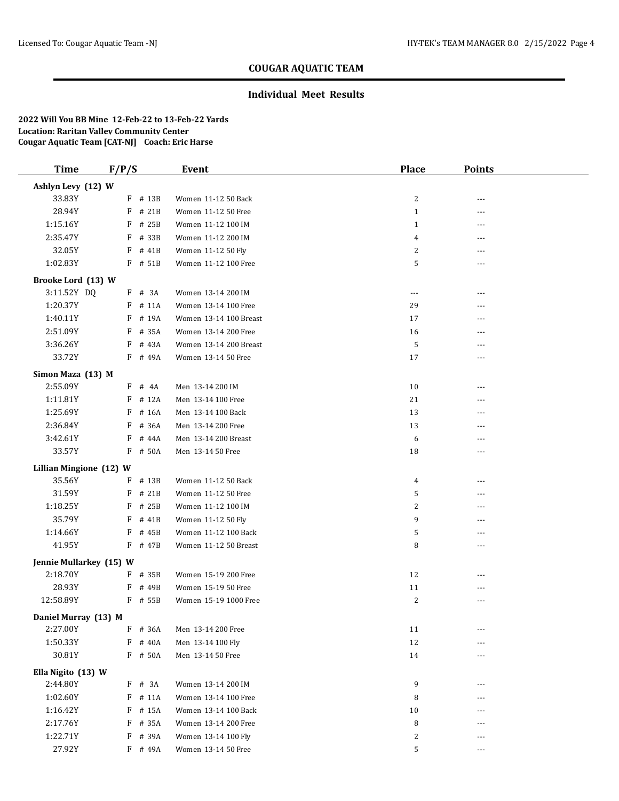### **Individual Meet Results**

| <b>Time</b>             | F/P/S |           | <b>Event</b>           | <b>Place</b> | <b>Points</b> |  |
|-------------------------|-------|-----------|------------------------|--------------|---------------|--|
| Ashlyn Levy (12) W      |       |           |                        |              |               |  |
| 33.83Y                  |       | F # 13B   | Women 11-12 50 Back    | 2            | ---           |  |
| 28.94Y                  | F     | # 21B     | Women 11-12 50 Free    | $\mathbf{1}$ | ---           |  |
| 1:15.16Y                | F     | # 25B     | Women 11-12 100 IM     | $\mathbf{1}$ | ---           |  |
| 2:35.47Y                | F     | # 33B     | Women 11-12 200 IM     | 4            | ---           |  |
| 32.05Y                  | F     | # 41B     | Women 11-12 50 Fly     | 2            | ---           |  |
| 1:02.83Y                |       | F # 51B   | Women 11-12 100 Free   | 5            | ---           |  |
| Brooke Lord (13) W      |       |           |                        |              |               |  |
| 3:11.52Y DQ             |       | F # 3A    | Women 13-14 200 IM     | ---          | ---           |  |
| 1:20.37Y                | F     | # 11A     | Women 13-14 100 Free   | 29           | ---           |  |
| 1:40.11Y                | F     | # 19A     | Women 13-14 100 Breast | 17           |               |  |
| 2:51.09Y                |       | F # 35A   | Women 13-14 200 Free   | 16           | ---           |  |
| 3:36.26Y                | F     | # 43A     | Women 13-14 200 Breast | 5            |               |  |
| 33.72Y                  |       | F # 49A   | Women 13-14 50 Free    | 17           | ---           |  |
| Simon Maza (13) M       |       |           |                        |              |               |  |
| 2:55.09Y                |       | $F$ # 4A  | Men 13-14 200 IM       | 10           | ---           |  |
| 1:11.81Y                | F     | # 12A     | Men 13-14 100 Free     | 21           | ---           |  |
| 1:25.69Y                | F     | # 16A     | Men 13-14 100 Back     | 13           |               |  |
| 2:36.84Y                | F     | # 36A     | Men 13-14 200 Free     | 13           | ---           |  |
| 3:42.61Y                | F     | # 44A     | Men 13-14 200 Breast   | 6            | ---           |  |
| 33.57Y                  | F     | # 50A     | Men 13-14 50 Free      | 18           | $- - -$       |  |
| Lillian Mingione (12) W |       |           |                        |              |               |  |
| 35.56Y                  | F     | # 13B     | Women 11-12 50 Back    | 4            | ---           |  |
| 31.59Y                  | F     | # 21B     | Women 11-12 50 Free    | 5            | ---           |  |
| 1:18.25Y                | F     | # 25B     | Women 11-12 100 IM     | 2            | ---           |  |
| 35.79Y                  | F     | # 41B     | Women 11-12 50 Fly     | 9            | ---           |  |
| 1:14.66Y                | F     | # 45B     | Women 11-12 100 Back   | 5            | ---           |  |
| 41.95Y                  |       | F # 47B   | Women 11-12 50 Breast  | 8            | $- - -$       |  |
| Jennie Mullarkey (15) W |       |           |                        |              |               |  |
| 2:18.70Y                |       | $F$ # 35B | Women 15-19 200 Free   | 12           | ---           |  |
| 28.93Y                  | F     | # 49B     | Women 15-19 50 Free    | 11           | ---           |  |
| 12:58.89Y               |       | F # 55B   | Women 15-19 1000 Free  | 2            | ---           |  |
| Daniel Murray (13) M    |       |           |                        |              |               |  |
| 2:27.00Y                |       | F # 36A   | Men 13-14 200 Free     | 11           |               |  |
| 1:50.33Y                |       | F # 40A   | Men 13-14 100 Fly      | 12           |               |  |
| 30.81Y                  |       | $F$ # 50A | Men 13-14 50 Free      | 14           | ---           |  |
| Ella Nigito (13) W      |       |           |                        |              |               |  |
| 2:44.80Y                |       | $F$ # 3A  | Women 13-14 200 IM     | 9            | ---           |  |
| 1:02.60Y                |       | $F$ # 11A | Women 13-14 100 Free   | 8            | ---           |  |
| 1:16.42Y                | F     | # 15A     | Women 13-14 100 Back   | 10           | ---           |  |
| 2:17.76Y                | F     | # 35A     | Women 13-14 200 Free   | 8            |               |  |
| 1:22.71Y                | F     | # 39A     | Women 13-14 100 Fly    | 2            | ---           |  |
| 27.92Y                  |       | F # 49A   | Women 13-14 50 Free    | 5            | ---           |  |
|                         |       |           |                        |              |               |  |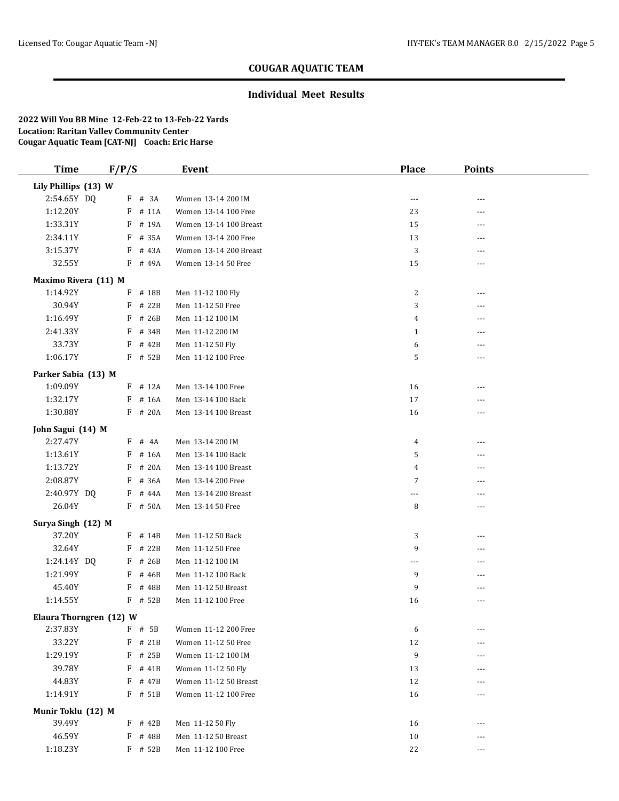### **Individual Meet Results**

| <b>Time</b>             | F/P/S      | <b>Event</b>           | <b>Place</b> | <b>Points</b> |  |
|-------------------------|------------|------------------------|--------------|---------------|--|
| Lily Phillips (13) W    |            |                        |              |               |  |
| 2:54.65Y DQ             | $F$ # 3A   | Women 13-14 200 IM     | ---          |               |  |
| 1:12.20Y                | F<br># 11A | Women 13-14 100 Free   | 23           | ---           |  |
| 1:33.31Y                | F<br># 19A | Women 13-14 100 Breast | 15           | ---           |  |
| 2:34.11Y                | F<br># 35A | Women 13-14 200 Free   | 13           | ---           |  |
| 3:15.37Y                | F<br># 43A | Women 13-14 200 Breast | 3            | ---           |  |
| 32.55Y                  | F # 49A    | Women 13-14 50 Free    | 15           | ---           |  |
| Maximo Rivera (11) M    |            |                        |              |               |  |
| 1:14.92Y                | F<br># 18B | Men 11-12 100 Fly      | 2            | ---           |  |
| 30.94Y                  | # 22B<br>F | Men 11-12 50 Free      | 3            | ---           |  |
| 1:16.49Y                | F<br># 26B | Men 11-12 100 IM       | 4            |               |  |
| 2:41.33Y                | # 34B<br>F | Men 11-12 200 IM       | $\mathbf{1}$ | ---           |  |
| 33.73Y                  | F<br># 42B | Men 11-12 50 Fly       | 6            |               |  |
| 1:06.17Y                | F # 52B    | Men 11-12 100 Free     | 5            | ---           |  |
| Parker Sabia (13) M     |            |                        |              |               |  |
| 1:09.09Y                | $F$ # 12A  | Men 13-14 100 Free     | 16           | ---           |  |
| 1:32.17Y                | F<br># 16A | Men 13-14 100 Back     | 17           | ---           |  |
| 1:30.88Y                | F # 20A    | Men 13-14 100 Breast   | 16           | ---           |  |
| John Sagui (14) M       |            |                        |              |               |  |
| 2:27.47Y                | # 4A<br>F  | Men 13-14 200 IM       | 4            |               |  |
| 1:13.61Y                | F<br># 16A | Men 13-14 100 Back     | 5            | ---           |  |
| 1:13.72Y                | # 20A<br>F | Men 13-14 100 Breast   | 4            |               |  |
| 2:08.87Y                | F<br># 36A | Men 13-14 200 Free     | 7            | ---           |  |
| 2:40.97Y DQ             | # 44A<br>F | Men 13-14 200 Breast   | ---          | ---           |  |
| 26.04Y                  | F # 50A    | Men 13-14 50 Free      | 8            | ---           |  |
| Surya Singh (12) M      |            |                        |              |               |  |
| 37.20Y                  | F # 14B    | Men 11-12 50 Back      | 3            | ---           |  |
| 32.64Y                  | # 22B<br>F | Men 11-12 50 Free      | 9            | ---           |  |
| 1:24.14Y DQ             | F # 26B    | Men 11-12 100 IM       | ---          |               |  |
| 1:21.99Y                | F<br># 46B | Men 11-12 100 Back     | 9            | ---           |  |
| 45.40Y                  | # 48B<br>F | Men 11-12 50 Breast    | 9            | ---           |  |
| 1:14.55Y                | F # 52B    | Men 11-12 100 Free     | 16           | ---           |  |
| Elaura Thorngren (12) W |            |                        |              |               |  |
| 2:37.83Y                | $F$ # 5B   | Women 11-12 200 Free   | 6            |               |  |
| 33.22Y                  | # 21B<br>F | Women 11-12 50 Free    | 12           | ---           |  |
| 1:29.19Y                | $F$ # 25B  | Women 11-12 100 IM     | 9            |               |  |
| 39.78Y                  | $F$ # 41B  | Women 11-12 50 Fly     | 13           | ---           |  |
| 44.83Y                  | F<br># 47B | Women 11-12 50 Breast  | 12           | ---           |  |
| 1:14.91Y                | F # 51B    | Women 11-12 100 Free   | 16           | $- - -$       |  |
| Munir Toklu (12) M      |            |                        |              |               |  |
| 39.49Y                  | F<br># 42B | Men 11-12 50 Fly       | 16           | ---           |  |
| 46.59Y                  | # 48B<br>F | Men 11-12 50 Breast    | 10           | ---           |  |
| 1:18.23Y                | F # 52B    | Men 11-12 100 Free     | 22           | ---           |  |
|                         |            |                        |              |               |  |